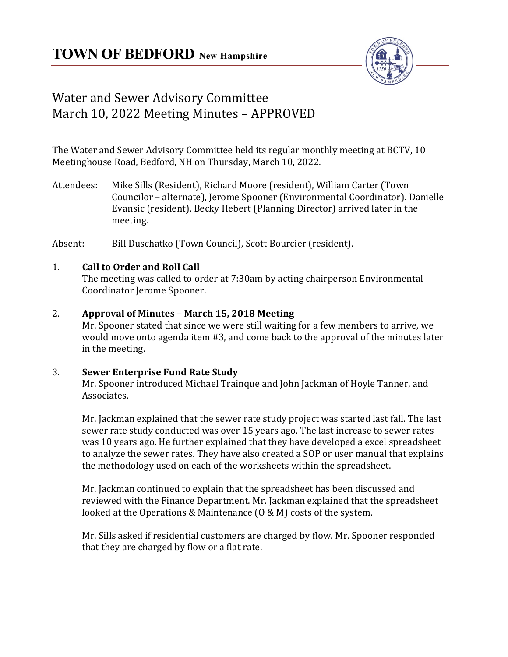

# Water and Sewer Advisory Committee March 10, 2022 Meeting Minutes – APPROVED

The Water and Sewer Advisory Committee held its regular monthly meeting at BCTV, 10 Meetinghouse Road, Bedford, NH on Thursday, March 10, 2022.

Attendees: Mike Sills (Resident), Richard Moore (resident), William Carter (Town Councilor – alternate), Jerome Spooner (Environmental Coordinator). Danielle Evansic (resident), Becky Hebert (Planning Director) arrived later in the meeting.

Absent: Bill Duschatko (Town Council), Scott Bourcier (resident).

## 1. **Call to Order and Roll Call**

The meeting was called to order at 7:30am by acting chairperson Environmental Coordinator Jerome Spooner.

# 2. **Approval of Minutes – March 15, 2018 Meeting**

Mr. Spooner stated that since we were still waiting for a few members to arrive, we would move onto agenda item #3, and come back to the approval of the minutes later in the meeting.

## 3. **Sewer Enterprise Fund Rate Study**

Mr. Spooner introduced Michael Trainque and John Jackman of Hoyle Tanner, and Associates.

Mr. Jackman explained that the sewer rate study project was started last fall. The last sewer rate study conducted was over 15 years ago. The last increase to sewer rates was 10 years ago. He further explained that they have developed a excel spreadsheet to analyze the sewer rates. They have also created a SOP or user manual that explains the methodology used on each of the worksheets within the spreadsheet.

Mr. Jackman continued to explain that the spreadsheet has been discussed and reviewed with the Finance Department. Mr. Jackman explained that the spreadsheet looked at the Operations & Maintenance (O & M) costs of the system.

Mr. Sills asked if residential customers are charged by flow. Mr. Spooner responded that they are charged by flow or a flat rate.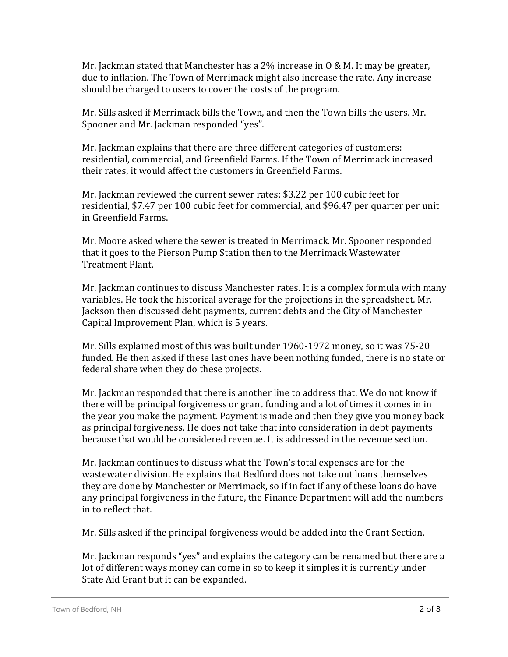Mr. Jackman stated that Manchester has a 2% increase in O & M. It may be greater, due to inflation. The Town of Merrimack might also increase the rate. Any increase should be charged to users to cover the costs of the program.

Mr. Sills asked if Merrimack bills the Town, and then the Town bills the users. Mr. Spooner and Mr. Jackman responded "yes".

Mr. Jackman explains that there are three different categories of customers: residential, commercial, and Greenfield Farms. If the Town of Merrimack increased their rates, it would affect the customers in Greenfield Farms.

Mr. Jackman reviewed the current sewer rates: \$3.22 per 100 cubic feet for residential, \$7.47 per 100 cubic feet for commercial, and \$96.47 per quarter per unit in Greenfield Farms.

Mr. Moore asked where the sewer is treated in Merrimack. Mr. Spooner responded that it goes to the Pierson Pump Station then to the Merrimack Wastewater Treatment Plant.

Mr. Jackman continues to discuss Manchester rates. It is a complex formula with many variables. He took the historical average for the projections in the spreadsheet. Mr. Jackson then discussed debt payments, current debts and the City of Manchester Capital Improvement Plan, which is 5 years.

Mr. Sills explained most of this was built under 1960-1972 money, so it was 75-20 funded. He then asked if these last ones have been nothing funded, there is no state or federal share when they do these projects.

Mr. Jackman responded that there is another line to address that. We do not know if there will be principal forgiveness or grant funding and a lot of times it comes in in the year you make the payment. Payment is made and then they give you money back as principal forgiveness. He does not take that into consideration in debt payments because that would be considered revenue. It is addressed in the revenue section.

Mr. Jackman continues to discuss what the Town's total expenses are for the wastewater division. He explains that Bedford does not take out loans themselves they are done by Manchester or Merrimack, so if in fact if any of these loans do have any principal forgiveness in the future, the Finance Department will add the numbers in to reflect that.

Mr. Sills asked if the principal forgiveness would be added into the Grant Section.

Mr. Jackman responds "yes" and explains the category can be renamed but there are a lot of different ways money can come in so to keep it simples it is currently under State Aid Grant but it can be expanded.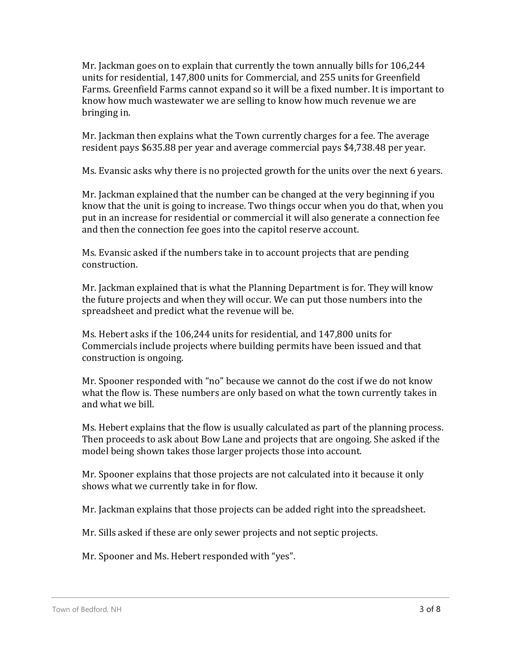Mr. Jackman goes on to explain that currently the town annually bills for 106,244 units for residential, 147,800 units for Commercial, and 255 units for Greenfield Farms. Greenfield Farms cannot expand so it will be a fixed number. It is important to know how much wastewater we are selling to know how much revenue we are bringing in.

Mr. Jackman then explains what the Town currently charges for a fee. The average resident pays \$635.88 per year and average commercial pays \$4,738.48 per year.

Ms. Evansic asks why there is no projected growth for the units over the next 6 years.

Mr. Jackman explained that the number can be changed at the very beginning if you know that the unit is going to increase. Two things occur when you do that, when you put in an increase for residential or commercial it will also generate a connection fee and then the connection fee goes into the capitol reserve account.

Ms. Evansic asked if the numbers take in to account projects that are pending construction.

Mr. Jackman explained that is what the Planning Department is for. They will know the future projects and when they will occur. We can put those numbers into the spreadsheet and predict what the revenue will be.

Ms. Hebert asks if the 106,244 units for residential, and 147,800 units for Commercials include projects where building permits have been issued and that construction is ongoing.

Mr. Spooner responded with "no" because we cannot do the cost if we do not know what the flow is. These numbers are only based on what the town currently takes in and what we bill.

Ms. Hebert explains that the flow is usually calculated as part of the planning process. Then proceeds to ask about Bow Lane and projects that are ongoing. She asked if the model being shown takes those larger projects those into account.

Mr. Spooner explains that those projects are not calculated into it because it only shows what we currently take in for flow.

Mr. Jackman explains that those projects can be added right into the spreadsheet.

Mr. Sills asked if these are only sewer projects and not septic projects.

Mr. Spooner and Ms. Hebert responded with "yes".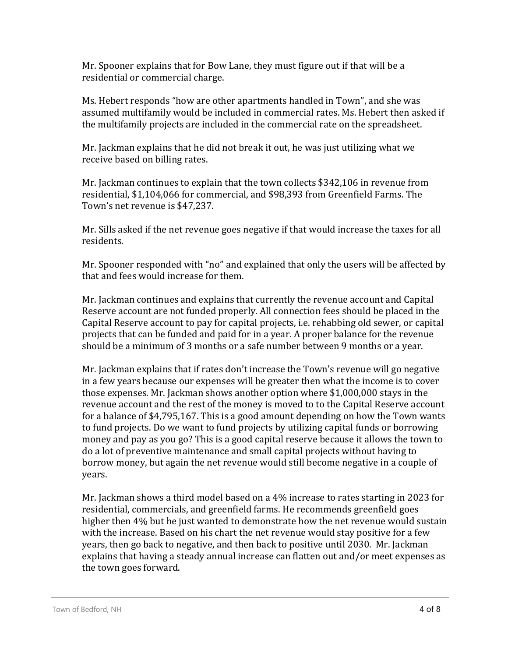Mr. Spooner explains that for Bow Lane, they must figure out if that will be a residential or commercial charge.

Ms. Hebert responds "how are other apartments handled in Town", and she was assumed multifamily would be included in commercial rates. Ms. Hebert then asked if the multifamily projects are included in the commercial rate on the spreadsheet.

Mr. Jackman explains that he did not break it out, he was just utilizing what we receive based on billing rates.

Mr. Jackman continues to explain that the town collects \$342,106 in revenue from residential, \$1,104,066 for commercial, and \$98,393 from Greenfield Farms. The Town's net revenue is \$47,237.

Mr. Sills asked if the net revenue goes negative if that would increase the taxes for all residents.

Mr. Spooner responded with "no" and explained that only the users will be affected by that and fees would increase for them.

Mr. Jackman continues and explains that currently the revenue account and Capital Reserve account are not funded properly. All connection fees should be placed in the Capital Reserve account to pay for capital projects, i.e. rehabbing old sewer, or capital projects that can be funded and paid for in a year. A proper balance for the revenue should be a minimum of 3 months or a safe number between 9 months or a year.

Mr. Jackman explains that if rates don't increase the Town's revenue will go negative in a few years because our expenses will be greater then what the income is to cover those expenses. Mr. Jackman shows another option where \$1,000,000 stays in the revenue account and the rest of the money is moved to to the Capital Reserve account for a balance of \$4,795,167. This is a good amount depending on how the Town wants to fund projects. Do we want to fund projects by utilizing capital funds or borrowing money and pay as you go? This is a good capital reserve because it allows the town to do a lot of preventive maintenance and small capital projects without having to borrow money, but again the net revenue would still become negative in a couple of years.

Mr. Jackman shows a third model based on a 4% increase to rates starting in 2023 for residential, commercials, and greenfield farms. He recommends greenfield goes higher then 4% but he just wanted to demonstrate how the net revenue would sustain with the increase. Based on his chart the net revenue would stay positive for a few years, then go back to negative, and then back to positive until 2030. Mr. Jackman explains that having a steady annual increase can flatten out and/or meet expenses as the town goes forward.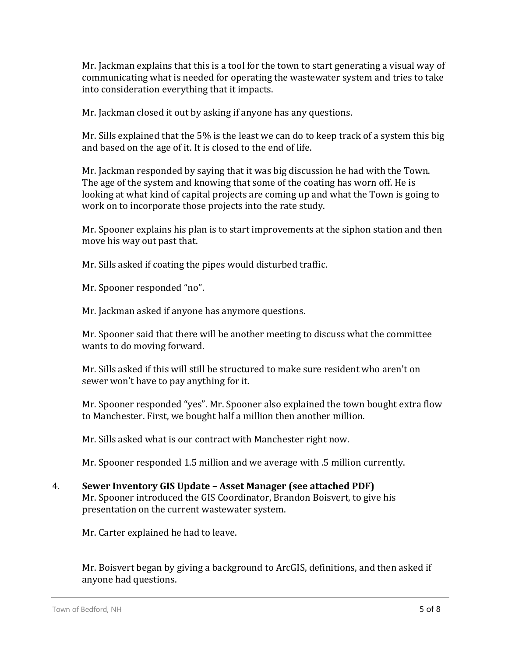Mr. Jackman explains that this is a tool for the town to start generating a visual way of communicating what is needed for operating the wastewater system and tries to take into consideration everything that it impacts.

Mr. Jackman closed it out by asking if anyone has any questions.

Mr. Sills explained that the 5% is the least we can do to keep track of a system this big and based on the age of it. It is closed to the end of life.

Mr. Jackman responded by saying that it was big discussion he had with the Town. The age of the system and knowing that some of the coating has worn off. He is looking at what kind of capital projects are coming up and what the Town is going to work on to incorporate those projects into the rate study.

Mr. Spooner explains his plan is to start improvements at the siphon station and then move his way out past that.

Mr. Sills asked if coating the pipes would disturbed traffic.

Mr. Spooner responded "no".

Mr. Jackman asked if anyone has anymore questions.

Mr. Spooner said that there will be another meeting to discuss what the committee wants to do moving forward.

Mr. Sills asked if this will still be structured to make sure resident who aren't on sewer won't have to pay anything for it.

Mr. Spooner responded "yes". Mr. Spooner also explained the town bought extra flow to Manchester. First, we bought half a million then another million.

Mr. Sills asked what is our contract with Manchester right now.

Mr. Spooner responded 1.5 million and we average with .5 million currently.

4. **Sewer Inventory GIS Update – Asset Manager (see attached PDF)** Mr. Spooner introduced the GIS Coordinator, Brandon Boisvert, to give his presentation on the current wastewater system.

Mr. Carter explained he had to leave.

Mr. Boisvert began by giving a background to ArcGIS, definitions, and then asked if anyone had questions.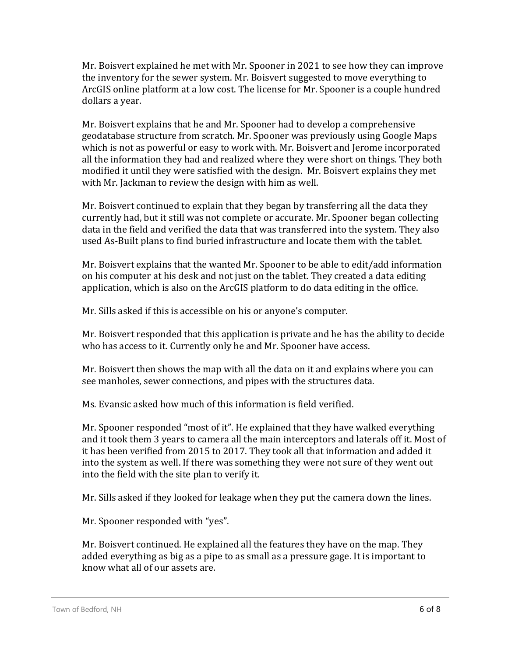Mr. Boisvert explained he met with Mr. Spooner in 2021 to see how they can improve the inventory for the sewer system. Mr. Boisvert suggested to move everything to ArcGIS online platform at a low cost. The license for Mr. Spooner is a couple hundred dollars a year.

Mr. Boisvert explains that he and Mr. Spooner had to develop a comprehensive geodatabase structure from scratch. Mr. Spooner was previously using Google Maps which is not as powerful or easy to work with. Mr. Boisvert and Jerome incorporated all the information they had and realized where they were short on things. They both modified it until they were satisfied with the design. Mr. Boisvert explains they met with Mr. Jackman to review the design with him as well.

Mr. Boisvert continued to explain that they began by transferring all the data they currently had, but it still was not complete or accurate. Mr. Spooner began collecting data in the field and verified the data that was transferred into the system. They also used As-Built plans to find buried infrastructure and locate them with the tablet.

Mr. Boisvert explains that the wanted Mr. Spooner to be able to edit/add information on his computer at his desk and not just on the tablet. They created a data editing application, which is also on the ArcGIS platform to do data editing in the office.

Mr. Sills asked if this is accessible on his or anyone's computer.

Mr. Boisvert responded that this application is private and he has the ability to decide who has access to it. Currently only he and Mr. Spooner have access.

Mr. Boisvert then shows the map with all the data on it and explains where you can see manholes, sewer connections, and pipes with the structures data.

Ms. Evansic asked how much of this information is field verified.

Mr. Spooner responded "most of it". He explained that they have walked everything and it took them 3 years to camera all the main interceptors and laterals off it. Most of it has been verified from 2015 to 2017. They took all that information and added it into the system as well. If there was something they were not sure of they went out into the field with the site plan to verify it.

Mr. Sills asked if they looked for leakage when they put the camera down the lines.

Mr. Spooner responded with "yes".

Mr. Boisvert continued. He explained all the features they have on the map. They added everything as big as a pipe to as small as a pressure gage. It is important to know what all of our assets are.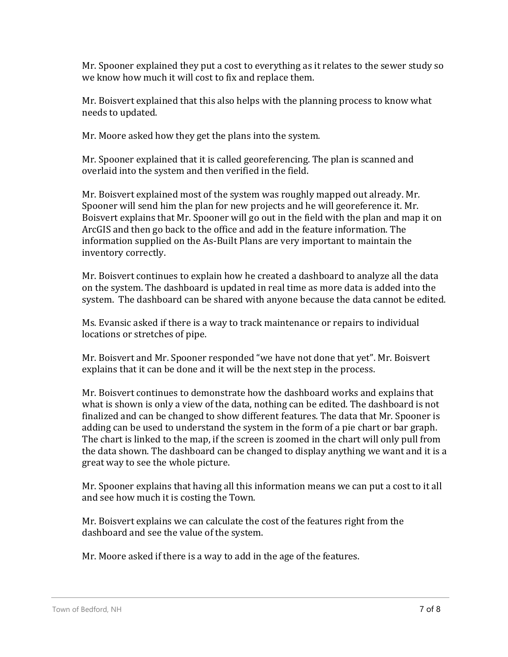Mr. Spooner explained they put a cost to everything as it relates to the sewer study so we know how much it will cost to fix and replace them.

Mr. Boisvert explained that this also helps with the planning process to know what needs to updated.

Mr. Moore asked how they get the plans into the system.

Mr. Spooner explained that it is called georeferencing. The plan is scanned and overlaid into the system and then verified in the field.

Mr. Boisvert explained most of the system was roughly mapped out already. Mr. Spooner will send him the plan for new projects and he will georeference it. Mr. Boisvert explains that Mr. Spooner will go out in the field with the plan and map it on ArcGIS and then go back to the office and add in the feature information. The information supplied on the As-Built Plans are very important to maintain the inventory correctly.

Mr. Boisvert continues to explain how he created a dashboard to analyze all the data on the system. The dashboard is updated in real time as more data is added into the system. The dashboard can be shared with anyone because the data cannot be edited.

Ms. Evansic asked if there is a way to track maintenance or repairs to individual locations or stretches of pipe.

Mr. Boisvert and Mr. Spooner responded "we have not done that yet". Mr. Boisvert explains that it can be done and it will be the next step in the process.

Mr. Boisvert continues to demonstrate how the dashboard works and explains that what is shown is only a view of the data, nothing can be edited. The dashboard is not finalized and can be changed to show different features. The data that Mr. Spooner is adding can be used to understand the system in the form of a pie chart or bar graph. The chart is linked to the map, if the screen is zoomed in the chart will only pull from the data shown. The dashboard can be changed to display anything we want and it is a great way to see the whole picture.

Mr. Spooner explains that having all this information means we can put a cost to it all and see how much it is costing the Town.

Mr. Boisvert explains we can calculate the cost of the features right from the dashboard and see the value of the system.

Mr. Moore asked if there is a way to add in the age of the features.